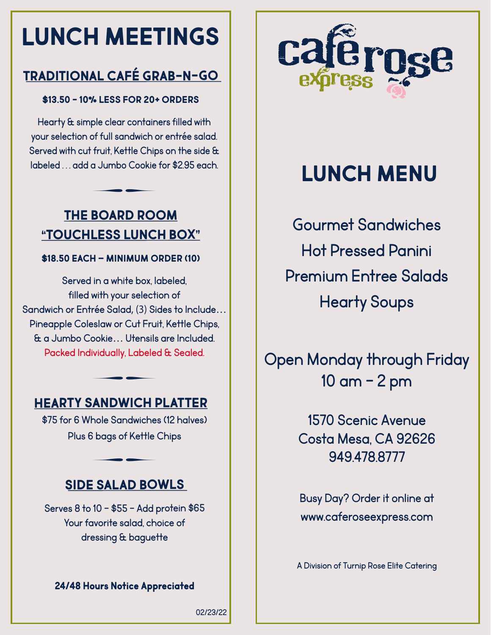# **LUNCH MEETINGS**

## **TRADITIONAL CAFÉ GRAB-N-GO**

#### **\$13.50 - 10% LESS FOR 20+ ORDERS**

Hearty & simple clear containers filled with your selection of full sandwich or entrée salad. Served with cut fruit, Kettle Chips on the side & labeled . . . add a Jumbo Cookie for \$2.95 each.

### **THE BOARD ROOM "TOUCHLESS LUNCH BOX"**

 $\overline{\phantom{a}}$  344  $\overline{\phantom{a}}$ 

#### **\$18.50 EACH – MINIMUM ORDER (10)**

Served in a white box, labeled, filled with your selection of Sandwich or Entrée Salad, (3) Sides to Include… Pineapple Coleslaw or Cut Fruit, Kettle Chips, & a Jumbo Cookie… Utensils are Included. Packed Individually, Labeled & Sealed.

### **HEARTY SANDWICH PLATTER**

 $\overline{\phantom{a}}$  344  $\overline{\phantom{a}}$ 

\$75 for 6 Whole Sandwiches (12 halves) Plus 6 bags of Kettle Chips

### **SIDE SALAD BOWLS**

 $\overline{\phantom{a}}$  344  $\overline{\phantom{a}}$ 

Serves 8 to 10 - \$55 - Add protein \$65 Your favorite salad, choice of dressing & baguette

#### **24/48 Hours Notice Appreciated**



## **LUNCH MENU**

Gourmet Sandwiches Hot Pressed Panini Premium Entree Salads Hearty Soups

Open Monday through Friday 10 am - 2 pm

> 1570 Scenic Avenue Costa Mesa, CA 92626 949.478.8777

> Busy Day? Order it online at www.caferoseexpress.com

A Division of Turnip Rose Elite Catering

02/23/22